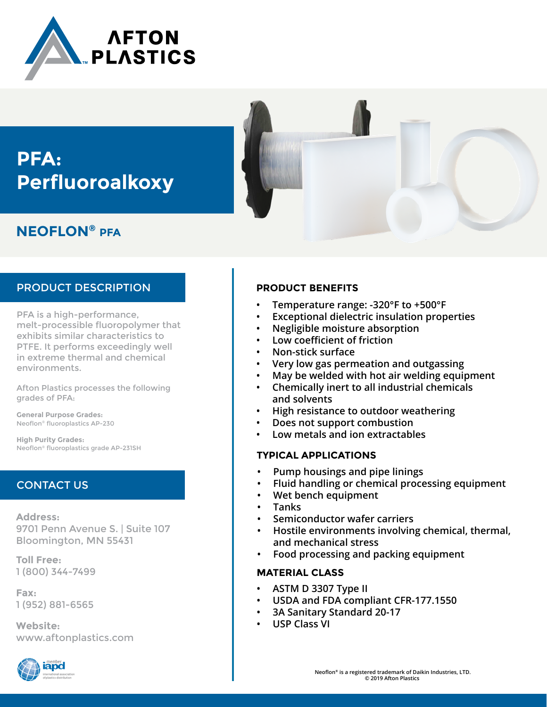

# **PFA: Perfluoroalkoxy**

# **NEOFLON® PFA**

## PRODUCT DESCRIPTION

PFA is a high-performance, melt-processible fluoropolymer that exhibits similar characteristics to PTFE. It performs exceedingly well in extreme thermal and chemical environments.

Afton Plastics processes the following grades of PFA:

**General Purpose Grades:**  Neoflon® fluoroplastics AP-230

**High Purity Grades:** Neoflon® fluoroplastics grade AP-231SH

# CONTACT US

**Address:** 9701 Penn Avenue S. | Suite 107 Bloomington, MN 55431

**Toll Free:** 1 (800) 344-7499

**Fax:** 1 (952) 881-6565

**Website:** www.aftonplastics.com



### **PRODUCT BENEFITS**

- **• Temperature range: -320°F to +500°F**
- **• Exceptional dielectric insulation properties**
- **• Negligible moisture absorption**
- **• Low coefficient of friction**
- **• Non-stick surface**
- **• Very low gas permeation and outgassing**
- **• May be welded with hot air welding equipment**
- **• Chemically inert to all industrial chemicals and solvents**
- **• High resistance to outdoor weathering**
- **• Does not support combustion**
- **• Low metals and ion extractables**

### **TYPICAL APPLICATIONS**

- **• Pump housings and pipe linings**
- **• Fluid handling or chemical processing equipment**
- **• Wet bench equipment**
- **• Tanks**
- **• Semiconductor wafer carriers**
- **• Hostile environments involving chemical, thermal, and mechanical stress**
- **• Food processing and packing equipment**

### **MATERIAL CLASS**

- **• ASTM D 3307 Type II**
- **• USDA and FDA compliant CFR-177.1550**
- **• 3A Sanitary Standard 20-17**
- **• USP Class VI**